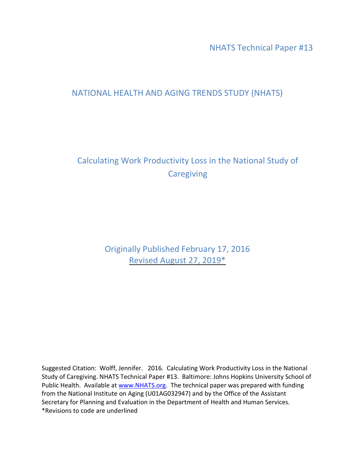NHATS Technical Paper #13

## NATIONAL HEALTH AND AGING TRENDS STUDY (NHATS)

# Calculating Work Productivity Loss in the National Study of **Caregiving**

Originally Published February 17, 2016 Revised August 27, 2019\*

Suggested Citation: Wolff, Jennifer. 2016. Calculating Work Productivity Loss in the National Study of Caregiving. NHATS Technical Paper #13. Baltimore: Johns Hopkins University School of Public Health. Available at [www.NHATS.org.](http://www.nhats.org/) The technical paper was prepared with funding from the National Institute on Aging (U01AG032947) and by the Office of the Assistant Secretary for Planning and Evaluation in the Department of Health and Human Services. \*Revisions to code are underlined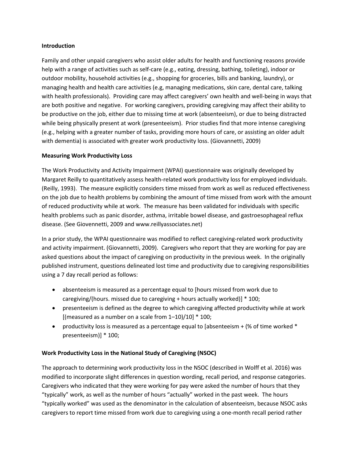#### **Introduction**

Family and other unpaid caregivers who assist older adults for health and functioning reasons provide help with a range of activities such as self-care (e.g., eating, dressing, bathing, toileting), indoor or outdoor mobility, household activities (e.g., shopping for groceries, bills and banking, laundry), or managing health and health care activities (e.g, managing medications, skin care, dental care, talking with health professionals). Providing care may affect caregivers' own health and well-being in ways that are both positive and negative. For working caregivers, providing caregiving may affect their ability to be productive on the job, either due to missing time at work (absenteeism), or due to being distracted while being physically present at work (presenteeism). Prior studies find that more intense caregiving (e.g., helping with a greater number of tasks, providing more hours of care, or assisting an older adult with dementia) is associated with greater work productivity loss. (Giovannetti, 2009)

#### **Measuring Work Productivity Loss**

The Work Productivity and Activity Impairment (WPAI) questionnaire was originally developed by Margaret Reilly to quantitatively assess health-related work productivity loss for employed individuals. (Reilly, 1993). The measure explicitly considers time missed from work as well as reduced effectiveness on the job due to health problems by combining the amount of time missed from work with the amount of reduced productivity while at work. The measure has been validated for individuals with specific health problems such as panic disorder, asthma, irritable bowel disease, and gastroesophageal reflux disease. (See Giovennetti, 2009 and www.reillyassociates.net)

In a prior study, the WPAI questionnaire was modified to reflect caregiving-related work productivity and activity impairment. (Giovannetti, 2009). Caregivers who report that they are working for pay are asked questions about the impact of caregiving on productivity in the previous week. In the originally published instrument, questions delineated lost time and productivity due to caregiving responsibilities using a 7 day recall period as follows:

- absenteeism is measured as a percentage equal to [hours missed from work due to caregiving/(hours. missed due to caregiving + hours actually worked)] \* 100;
- presenteeism is defined as the degree to which caregiving affected productivity while at work [(measured as a number on a scale from  $1-10$ )/10]  $*$  100;
- productivity loss is measured as a percentage equal to [absenteeism  $+$  (% of time worked  $*$ presenteeism)] \* 100;

#### **Work Productivity Loss in the National Study of Caregiving (NSOC)**

The approach to determining work productivity loss in the NSOC (described in Wolff et al. 2016) was modified to incorporate slight differences in question wording, recall period, and response categories. Caregivers who indicated that they were working for pay were asked the number of hours that they "typically" work, as well as the number of hours "actually" worked in the past week. The hours "typically worked" was used as the denominator in the calculation of absenteeism, because NSOC asks caregivers to report time missed from work due to caregiving using a one-month recall period rather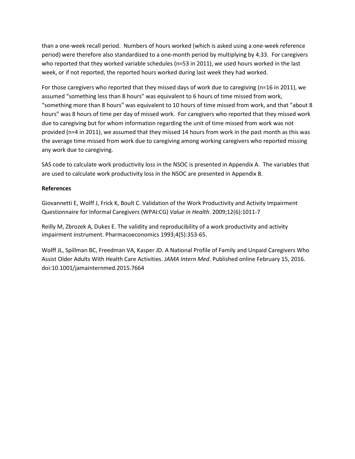than a one-week recall period. Numbers of hours worked (which is asked using a one-week reference period) were therefore also standardized to a one-month period by multiplying by 4.33. For caregivers who reported that they worked variable schedules (n=53 in 2011), we used hours worked in the last week, or if not reported, the reported hours worked during last week they had worked.

For those caregivers who reported that they missed days of work due to caregiving (n=16 in 2011), we assumed "something less than 8 hours" was equivalent to 6 hours of time missed from work, "something more than 8 hours" was equivalent to 10 hours of time missed from work, and that "about 8 hours" was 8 hours of time per day of missed work. For caregivers who reported that they missed work due to caregiving but for whom information regarding the unit of time missed from work was not provided (n=4 in 2011), we assumed that they missed 14 hours from work in the past month as this was the average time missed from work due to caregiving among working caregivers who reported missing any work due to caregiving.

SAS code to calculate work productivity loss in the NSOC is presented in Appendix A. The variables that are used to calculate work productivity loss in the NSOC are presented in Appendix B.

### **References**

Giovannetti E, Wolff J, Frick K, Boult C. Validation of the Work Productivity and Activity Impairment Questionnaire for Informal Caregivers (WPAI:CG) *Value in Health*. 2009;12(6):1011-7

Reilly M, Zbrozek A, Dukes E. The validity and reproducibility of a work productivity and activity impairment instrument. Pharmacoeconomics 1993;4(5):353-65.

Wolff JL, Spillman BC, Freedman VA, Kasper JD. A National Profile of Family and Unpaid Caregivers Who Assist Older Adults With Health Care Activities. *JAMA Intern Med*. Published online February 15, 2016. doi:10.1001/jamainternmed.2015.7664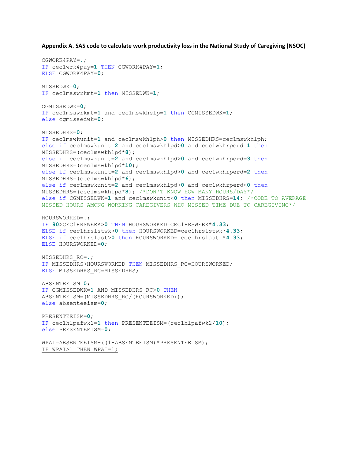**Appendix A. SAS code to calculate work productivity loss in the National Study of Caregiving (NSOC)**

```
CGWORK4PAY=.;
IF cec1wrk4pay=1 THEN CGWORK4PAY=1;
ELSE CGWORK4PAY=0;
MISSEDWK=0;
IF cec1msswrkmt=1 then MISSEDWK=1;
CGMISSEDWK=0;
IF cec1msswrkmt=1 and cec1mswkhelp=1 then CGMISSEDWK=1;
else cgmissedwk=0;
MISSEDHRS=0;
IF cec1mswkunit=1 and cec1mswkhlph>0 then MISSEDHRS=cec1mswkhlph;
else if cec1mswkunit=2 and cec1mswkhlpd>0 and cec1wkhrperd=1 then
MISSEDHRS=(cec1mswkhlpd*8);
else if cec1mswkunit=2 and cec1mswkhlpd>0 and cec1wkhrperd=3 then
MISSEDHRS=(cec1mswkhlpd*10);
else if cec1mswkunit=2 and cec1mswkhlpd>0 and cec1wkhrperd=2 then
MISSEDHRS=(cec1mswkhlpd*6);
else if cec1mswkunit=2 and cec1mswkhlpd>0 and cec1wkhrperd<0 then
MISSEDHRS=(cec1mswkhlpd*8); /*DON'T KNOW HOW MANY HOURS/DAY*/
else if CGMISSEDWK=1 and cec1mswkunit<0 then MISSEDHRS=14; /*CODE TO AVERAGE
MISSED HOURS AMONG WORKING CAREGIVERS WHO MISSED TIME DUE TO CAREGIVING*/
HOURSWORKED=.;
IF 90>CEC1HRSWEEK>0 THEN HOURSWORKED=CEC1HRSWEEK*4.33;
ELSE if cec1hrslstwk>0 then HOURSWORKED=cec1hrslstwk*4.33;
ELSE if cec1hrslast>0 then HOURSWORKED= cec1hrslast *4.33;
ELSE HOURSWORKED=0;
MISSEDHRS_RC=.;
IF MISSEDHRS>HOURSWORKED THEN MISSEDHRS_RC=HOURSWORKED;
ELSE MISSEDHRS_RC=MISSEDHRS;
ABSENTEEISM=0;
IF CGMISSEDWK=1 AND MISSEDHRS_RC>0 THEN
ABSENTEEISM=(MISSEDHRS_RC/(HOURSWORKED));
else absenteeism=0;
PRESENTEEISM=0;
IF cec1hlpafwk1=1 then PRESENTEEISM=(cec1hlpafwk2/10);
else PRESENTEEISM=0;
WPAI=ABSENTEEISM+((1-ABSENTEEISM)*PRESENTEEISM);
```

```
IF WPAI>1 THEN WPAI=1;
```